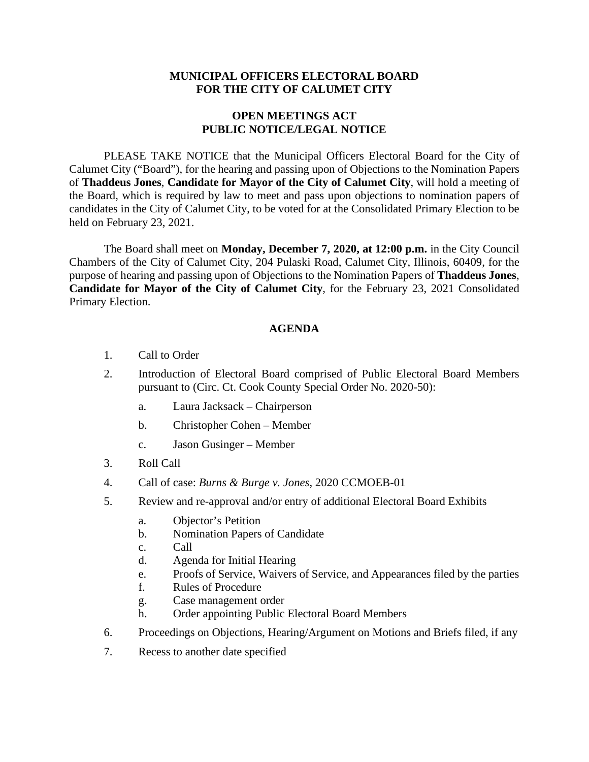# **MUNICIPAL OFFICERS ELECTORAL BOARD FOR THE CITY OF CALUMET CITY**

# **OPEN MEETINGS ACT PUBLIC NOTICE/LEGAL NOTICE**

PLEASE TAKE NOTICE that the Municipal Officers Electoral Board for the City of Calumet City ("Board"), for the hearing and passing upon of Objections to the Nomination Papers of **Thaddeus Jones**, **Candidate for Mayor of the City of Calumet City**, will hold a meeting of the Board, which is required by law to meet and pass upon objections to nomination papers of candidates in the City of Calumet City, to be voted for at the Consolidated Primary Election to be held on February 23, 2021.

The Board shall meet on **Monday, December 7, 2020, at 12:00 p.m.** in the City Council Chambers of the City of Calumet City, 204 Pulaski Road, Calumet City, Illinois, 60409, for the purpose of hearing and passing upon of Objections to the Nomination Papers of **Thaddeus Jones**, **Candidate for Mayor of the City of Calumet City**, for the February 23, 2021 Consolidated Primary Election.

### **AGENDA**

- 1. Call to Order
- 2. Introduction of Electoral Board comprised of Public Electoral Board Members pursuant to (Circ. Ct. Cook County Special Order No. 2020-50):
	- a. Laura Jacksack Chairperson
	- b. Christopher Cohen Member
	- c. Jason Gusinger Member
- 3. Roll Call
- 4. Call of case: *Burns & Burge v. Jones*, 2020 CCMOEB-01
- 5. Review and re-approval and/or entry of additional Electoral Board Exhibits
	- a. Objector's Petition
	- b. Nomination Papers of Candidate
	- c. Call
	- d. Agenda for Initial Hearing
	- e. Proofs of Service, Waivers of Service, and Appearances filed by the parties
	- f. Rules of Procedure
	- g. Case management order
	- h. Order appointing Public Electoral Board Members
- 6. Proceedings on Objections, Hearing/Argument on Motions and Briefs filed, if any
- 7. Recess to another date specified